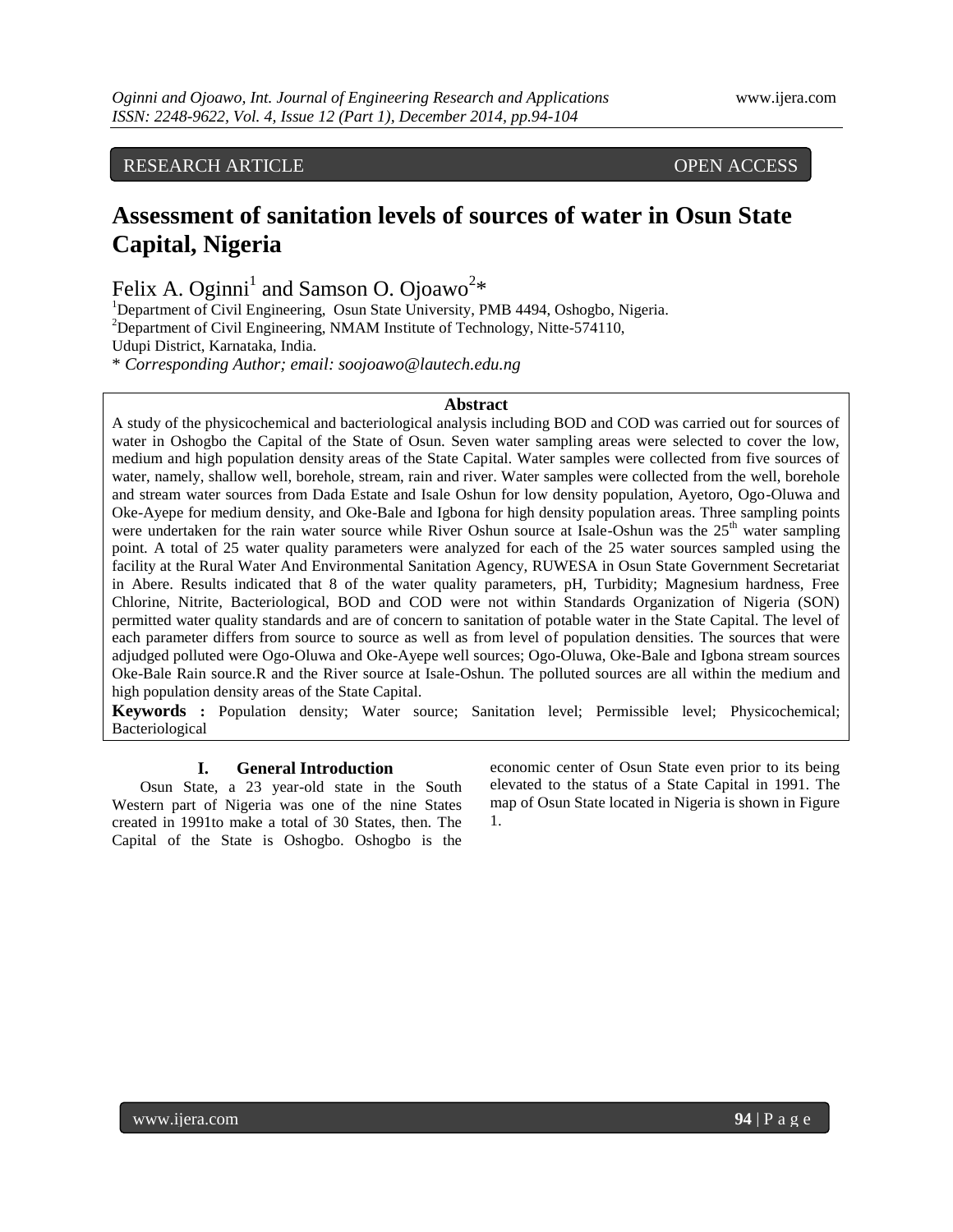RESEARCH ARTICLE OPEN ACCESS

# **Assessment of sanitation levels of sources of water in Osun State Capital, Nigeria**

Felix A. Oginni<sup>1</sup> and Samson O. Ojoawo<sup>2\*</sup>

<sup>1</sup>Department of Civil Engineering, Osun State University, PMB 4494, Oshogbo, Nigeria.  $2$ Department of Civil Engineering, NMAM Institute of Technology, Nitte-574110, Udupi District, Karnataka, India.

\* *Corresponding Author; email: soojoawo@lautech.edu.ng*

#### **Abstract**

A study of the physicochemical and bacteriological analysis including BOD and COD was carried out for sources of water in Oshogbo the Capital of the State of Osun. Seven water sampling areas were selected to cover the low, medium and high population density areas of the State Capital. Water samples were collected from five sources of water, namely, shallow well, borehole, stream, rain and river. Water samples were collected from the well, borehole and stream water sources from Dada Estate and Isale Oshun for low density population, Ayetoro, Ogo-Oluwa and Oke-Ayepe for medium density, and Oke-Bale and Igbona for high density population areas. Three sampling points were undertaken for the rain water source while River Oshun source at Isale-Oshun was the 25<sup>th</sup> water sampling point. A total of 25 water quality parameters were analyzed for each of the 25 water sources sampled using the facility at the Rural Water And Environmental Sanitation Agency, RUWESA in Osun State Government Secretariat in Abere. Results indicated that 8 of the water quality parameters, pH, Turbidity; Magnesium hardness, Free Chlorine, Nitrite, Bacteriological, BOD and COD were not within Standards Organization of Nigeria (SON) permitted water quality standards and are of concern to sanitation of potable water in the State Capital. The level of each parameter differs from source to source as well as from level of population densities. The sources that were adjudged polluted were Ogo-Oluwa and Oke-Ayepe well sources; Ogo-Oluwa, Oke-Bale and Igbona stream sources Oke-Bale Rain source.R and the River source at Isale-Oshun. The polluted sources are all within the medium and high population density areas of the State Capital.

**Keywords :** Population density; Water source; Sanitation level; Permissible level; Physicochemical; Bacteriological

# **I. General Introduction**

Osun State, a 23 year-old state in the South Western part of Nigeria was one of the nine States created in 1991to make a total of 30 States, then. The Capital of the State is Oshogbo. Oshogbo is the economic center of Osun State even prior to its being elevated to the status of a State Capital in 1991. The map of Osun State located in Nigeria is shown in Figure 1.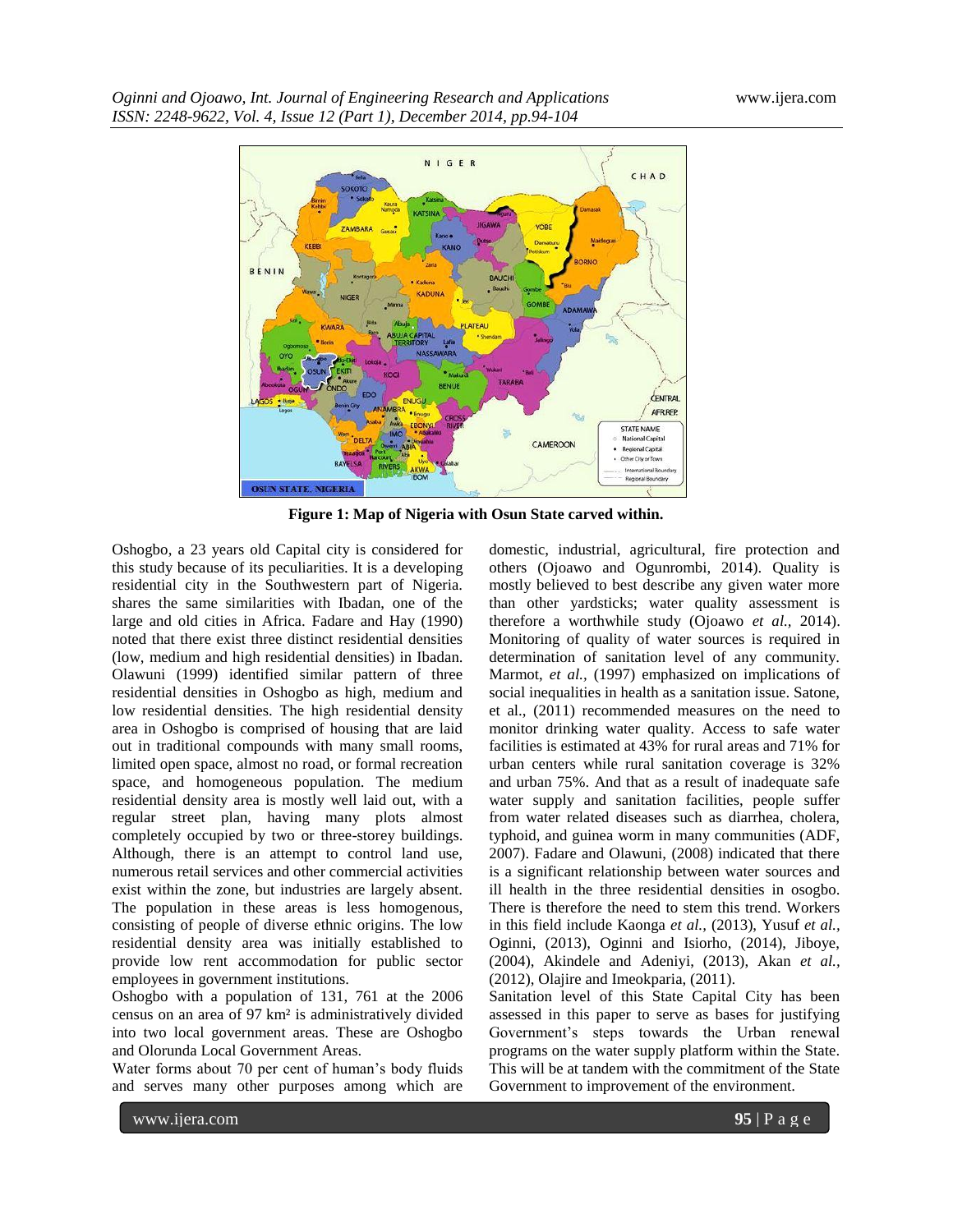

**Figure 1: Map of Nigeria with Osun State carved within.**

Oshogbo, a 23 years old Capital city is considered for this study because of its peculiarities. It is a developing residential city in the Southwestern part of Nigeria. shares the same similarities with Ibadan, one of the large and old cities in Africa. Fadare and Hay (1990) noted that there exist three distinct residential densities (low, medium and high residential densities) in Ibadan. Olawuni (1999) identified similar pattern of three residential densities in Oshogbo as high, medium and low residential densities. The high residential density area in Oshogbo is comprised of housing that are laid out in traditional compounds with many small rooms, limited open space, almost no road, or formal recreation space, and homogeneous population. The medium residential density area is mostly well laid out, with a regular street plan, having many plots almost completely occupied by two or three-storey buildings. Although, there is an attempt to control land use, numerous retail services and other commercial activities exist within the zone, but industries are largely absent. The population in these areas is less homogenous, consisting of people of diverse ethnic origins. The low residential density area was initially established to provide low rent accommodation for public sector employees in government institutions.

Oshogbo with a population of 131, 761 at the 2006 census on an area of 97 km² is administratively divided into two local government areas. These are Oshogbo and Olorunda Local Government Areas.

Water forms about 70 per cent of human's body fluids and serves many other purposes among which are domestic, industrial, agricultural, fire protection and others (Ojoawo and Ogunrombi, 2014). Quality is mostly believed to best describe any given water more than other yardsticks; water quality assessment is therefore a worthwhile study (Ojoawo *et al.,* 2014). Monitoring of quality of water sources is required in determination of sanitation level of any community. Marmot, *et al.,* (1997) emphasized on implications of social inequalities in health as a sanitation issue. Satone, et al., (2011) recommended measures on the need to monitor drinking water quality. Access to safe water facilities is estimated at 43% for rural areas and 71% for urban centers while rural sanitation coverage is 32% and urban 75%. And that as a result of inadequate safe water supply and sanitation facilities, people suffer from water related diseases such as diarrhea, cholera, typhoid, and guinea worm in many communities (ADF, 2007). Fadare and Olawuni, (2008) indicated that there is a significant relationship between water sources and ill health in the three residential densities in osogbo. There is therefore the need to stem this trend. Workers in this field include Kaonga *et al.,* (2013), Yusuf *et al.,* Oginni, (2013), Oginni and Isiorho, (2014), Jiboye, (2004), Akindele and Adeniyi, (2013), Akan *et al.,* (2012), Olajire and Imeokparia, (2011).

Sanitation level of this State Capital City has been assessed in this paper to serve as bases for justifying Government's steps towards the Urban renewal programs on the water supply platform within the State. This will be at tandem with the commitment of the State Government to improvement of the environment.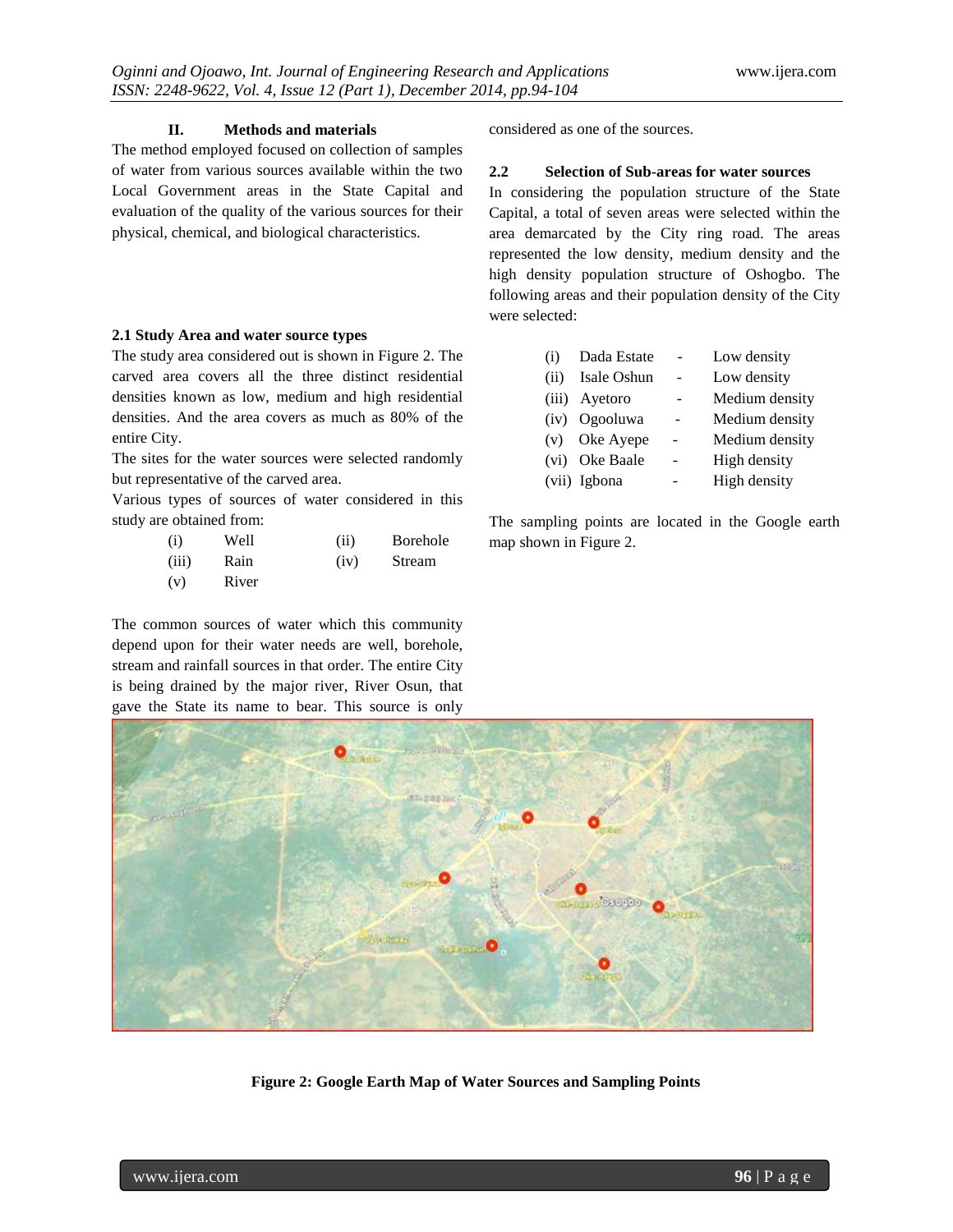# **II. Methods and materials**

The method employed focused on collection of samples of water from various sources available within the two Local Government areas in the State Capital and evaluation of the quality of the various sources for their physical, chemical, and biological characteristics.

# **2.1 Study Area and water source types**

The study area considered out is shown in Figure 2. The carved area covers all the three distinct residential densities known as low, medium and high residential densities. And the area covers as much as 80% of the entire City.

The sites for the water sources were selected randomly but representative of the carved area.

Various types of sources of water considered in this study are obtained from:

| (i)   | Well  | (ii) | Borehole |
|-------|-------|------|----------|
| (iii) | Rain  | (iv) | Stream   |
| (v)   | River |      |          |

The common sources of water which this community depend upon for their water needs are well, borehole, stream and rainfall sources in that order. The entire City is being drained by the major river, River Osun, that gave the State its name to bear. This source is only

considered as one of the sources.

# **2.2 Selection of Sub-areas for water sources**

In considering the population structure of the State Capital, a total of seven areas were selected within the area demarcated by the City ring road. The areas represented the low density, medium density and the high density population structure of Oshogbo. The following areas and their population density of the City were selected:

| Dada Estate<br>(i)  | Low density    |
|---------------------|----------------|
| Isale Oshun<br>(ii) | Low density    |
| (iii) Ayetoro       | Medium density |
| (iv) Ogooluwa       | Medium density |
| (v) Oke Ayepe       | Medium density |
| (vi) Oke Baale      | High density   |
| (vii) Igbona        | High density   |

The sampling points are located in the Google earth map shown in Figure 2.



**Figure 2: Google Earth Map of Water Sources and Sampling Points**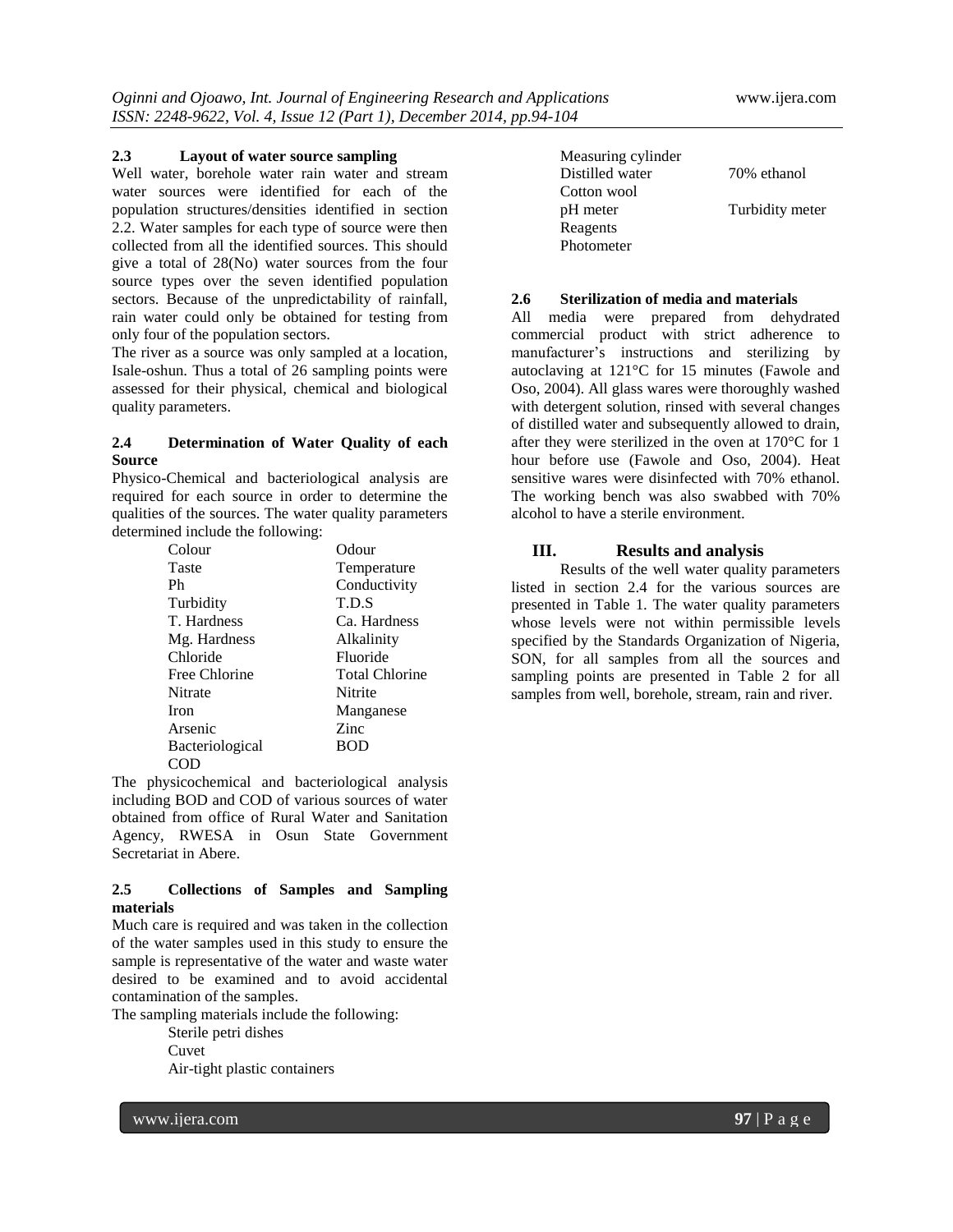## **2.3 Layout of water source sampling**

Well water, borehole water rain water and stream water sources were identified for each of the population structures/densities identified in section 2.2. Water samples for each type of source were then collected from all the identified sources. This should give a total of 28(No) water sources from the four source types over the seven identified population sectors. Because of the unpredictability of rainfall, rain water could only be obtained for testing from only four of the population sectors.

The river as a source was only sampled at a location, Isale-oshun. Thus a total of 26 sampling points were assessed for their physical, chemical and biological quality parameters.

#### **2.4 Determination of Water Quality of each Source**

Physico-Chemical and bacteriological analysis are required for each source in order to determine the qualities of the sources. The water quality parameters determined include the following:

| Colour                 | Odour                 |
|------------------------|-----------------------|
| Taste                  | Temperature           |
| Ph                     | Conductivity          |
| Turbidity              | T.D.S                 |
| T. Hardness            | Ca. Hardness          |
| Mg. Hardness           | Alkalinity            |
| Chloride               | Fluoride              |
| Free Chlorine          | <b>Total Chlorine</b> |
| Nitrate                | Nitrite               |
| Iron                   | Manganese             |
| Arsenic                | <b>Zinc</b>           |
| <b>Bacteriological</b> | <b>BOD</b>            |
| COD                    |                       |

The physicochemical and bacteriological analysis including BOD and COD of various sources of water obtained from office of Rural Water and Sanitation Agency, RWESA in Osun State Government Secretariat in Abere.

# **2.5 Collections of Samples and Sampling materials**

Much care is required and was taken in the collection of the water samples used in this study to ensure the sample is representative of the water and waste water desired to be examined and to avoid accidental contamination of the samples.

The sampling materials include the following:

Sterile petri dishes

Cuvet Air-tight plastic containers

| Measuring cylinder |                 |
|--------------------|-----------------|
| Distilled water    | 70% ethanol     |
| Cotton wool        |                 |
| pH meter           | Turbidity meter |
| Reagents           |                 |
| Photometer         |                 |

# **2.6 Sterilization of media and materials**

All media were prepared from dehydrated commercial product with strict adherence to manufacturer's instructions and sterilizing by autoclaving at 121°C for 15 minutes (Fawole and Oso, 2004). All glass wares were thoroughly washed with detergent solution, rinsed with several changes of distilled water and subsequently allowed to drain, after they were sterilized in the oven at 170°C for 1 hour before use (Fawole and Oso, 2004). Heat sensitive wares were disinfected with 70% ethanol. The working bench was also swabbed with 70% alcohol to have a sterile environment.

# **III. Results and analysis**

Results of the well water quality parameters listed in section 2.4 for the various sources are presented in Table 1. The water quality parameters whose levels were not within permissible levels specified by the Standards Organization of Nigeria, SON, for all samples from all the sources and sampling points are presented in Table 2 for all samples from well, borehole, stream, rain and river.

www.ijera.com **97** | P a g e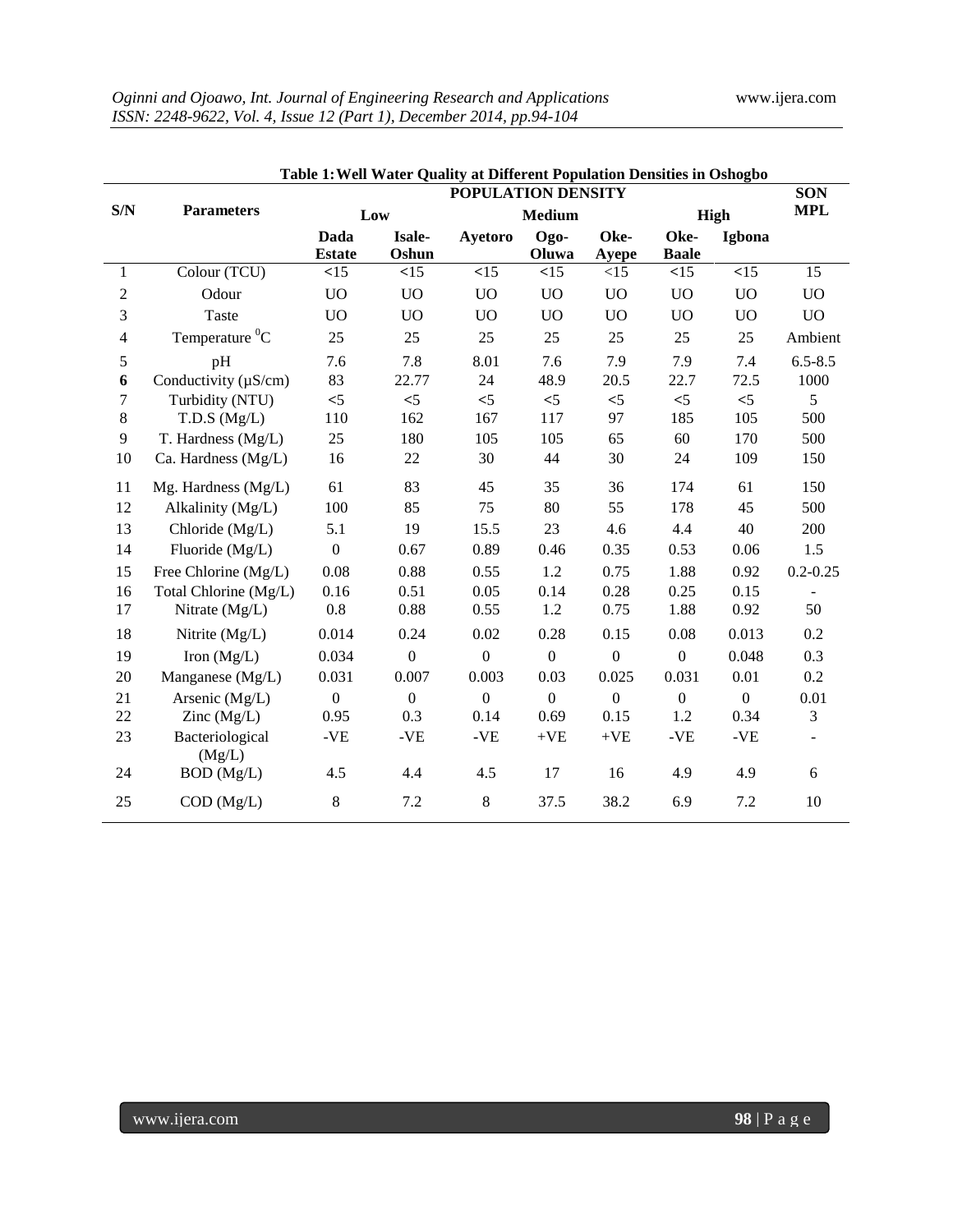|                | Table 1: Well Water Quality at Different Follomation Densities in Osnogbo<br>POPULATION DENSITY |                  |                  |                  |                  | <b>SON</b>       |                  |              |                |
|----------------|-------------------------------------------------------------------------------------------------|------------------|------------------|------------------|------------------|------------------|------------------|--------------|----------------|
| S/N            | <b>Parameters</b>                                                                               | Low              |                  | <b>Medium</b>    |                  |                  | High             |              | <b>MPL</b>     |
|                |                                                                                                 | Dada             | Isale-           | Ayetoro          | Ogo-             | Oke-             | Oke-             | Igbona       |                |
|                |                                                                                                 | <b>Estate</b>    | Oshun            |                  | Oluwa            | Ayepe            | <b>Baale</b>     |              |                |
| 1              | Colour (TCU)                                                                                    | <15              | <15              | <15              | <15              | <15              | <15              | <15          | 15             |
| $\sqrt{2}$     | Odour                                                                                           | <b>UO</b>        | <b>UO</b>        | <b>UO</b>        | <b>UO</b>        | <b>UO</b>        | <b>UO</b>        | <b>UO</b>    | <b>UO</b>      |
| 3              | <b>Taste</b>                                                                                    | <b>UO</b>        | U <sub>O</sub>   | UO               | UO               | <b>UO</b>        | <b>UO</b>        | <b>UO</b>    | <b>UO</b>      |
| $\overline{4}$ | Temperature ${}^{0}C$                                                                           | 25               | 25               | 25               | 25               | 25               | 25               | 25           | Ambient        |
| $\sqrt{5}$     | pH                                                                                              | 7.6              | 7.8              | 8.01             | 7.6              | 7.9              | 7.9              | 7.4          | $6.5 - 8.5$    |
| 6              | Conductivity $(\mu S/cm)$                                                                       | 83               | 22.77            | 24               | 48.9             | 20.5             | 22.7             | 72.5         | 1000           |
| $\tau$         | Turbidity (NTU)                                                                                 | $<$ 5            | $\leq$ 5         | $<$ 5            | $<$ 5            | $\leq$ 5         | $<$ 5            | $<$ 5        | 5              |
| $\,8\,$        | T.D.S (Mg/L)                                                                                    | 110              | 162              | 167              | 117              | 97               | 185              | 105          | 500            |
| 9              | T. Hardness (Mg/L)                                                                              | 25               | 180              | 105              | 105              | 65               | 60               | 170          | 500            |
| 10             | Ca. Hardness (Mg/L)                                                                             | 16               | 22               | 30               | 44               | 30               | 24               | 109          | 150            |
| 11             | Mg. Hardness (Mg/L)                                                                             | 61               | 83               | 45               | 35               | 36               | 174              | 61           | 150            |
| 12             | Alkalinity (Mg/L)                                                                               | 100              | 85               | 75               | 80               | 55               | 178              | 45           | 500            |
| 13             | Chloride (Mg/L)                                                                                 | 5.1              | 19               | 15.5             | 23               | 4.6              | 4.4              | 40           | 200            |
| 14             | Fluoride (Mg/L)                                                                                 | $\boldsymbol{0}$ | 0.67             | 0.89             | 0.46             | 0.35             | 0.53             | 0.06         | 1.5            |
| 15             | Free Chlorine (Mg/L)                                                                            | 0.08             | 0.88             | 0.55             | 1.2              | 0.75             | 1.88             | 0.92         | $0.2 - 0.25$   |
| 16             | Total Chlorine (Mg/L)                                                                           | 0.16             | 0.51             | 0.05             | 0.14             | 0.28             | 0.25             | 0.15         |                |
| 17             | Nitrate (Mg/L)                                                                                  | $0.8\,$          | 0.88             | 0.55             | 1.2              | 0.75             | 1.88             | 0.92         | 50             |
| 18             | Nitrite (Mg/L)                                                                                  | 0.014            | 0.24             | 0.02             | 0.28             | 0.15             | 0.08             | 0.013        | 0.2            |
| 19             | Iron $(Mg/L)$                                                                                   | 0.034            | $\boldsymbol{0}$ | $\boldsymbol{0}$ | $\boldsymbol{0}$ | $\boldsymbol{0}$ | $\boldsymbol{0}$ | 0.048        | 0.3            |
| $20\,$         | Manganese (Mg/L)                                                                                | 0.031            | 0.007            | 0.003            | 0.03             | 0.025            | 0.031            | 0.01         | 0.2            |
| 21             | Arsenic (Mg/L)                                                                                  | $\boldsymbol{0}$ | $\mathbf{0}$     | $\boldsymbol{0}$ | $\mathbf{0}$     | $\boldsymbol{0}$ | $\boldsymbol{0}$ | $\mathbf{0}$ | 0.01           |
| $22\,$         | Zinc $(Mg/L)$                                                                                   | 0.95             | 0.3              | 0.14             | 0.69             | 0.15             | 1.2              | 0.34         | 3              |
| 23             | Bacteriological<br>(Mg/L)                                                                       | $-VE$            | $-VE$            | $-VE$            | $+{\rm VE}$      | $+VE$            | $-VE$            | $-VE$        | $\blacksquare$ |
| 24             | BOD (Mg/L)                                                                                      | 4.5              | 4.4              | 4.5              | 17               | 16               | 4.9              | 4.9          | 6              |
| 25             | COD (Mg/L)                                                                                      | 8                | 7.2              | $\,8\,$          | 37.5             | 38.2             | 6.9              | 7.2          | 10             |

# **Table 1:Well Water Quality at Different Population Densities in Oshogbo**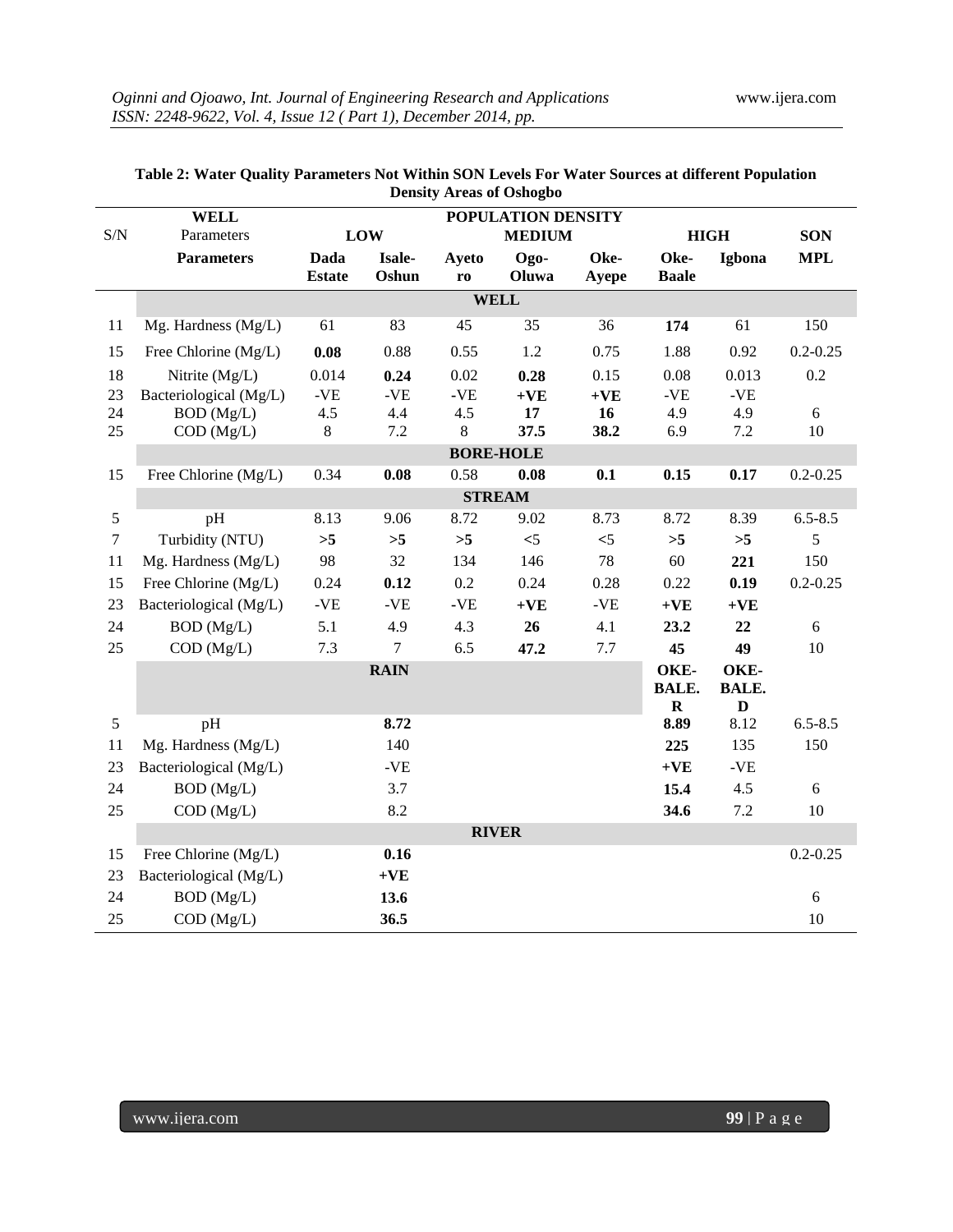|                  | <b>WELL</b>            |               |                             |                | POPULATION DENSITY |       |              |              |                  |
|------------------|------------------------|---------------|-----------------------------|----------------|--------------------|-------|--------------|--------------|------------------|
| S/N              | Parameters             |               | <b>LOW</b><br><b>MEDIUM</b> |                |                    |       | HIGH         |              | <b>SON</b>       |
|                  | <b>Parameters</b>      | <b>Dada</b>   | Isale-                      | Ayeto          | Ogo-               | Oke-  | Oke-         | Igbona       | <b>MPL</b>       |
|                  |                        | <b>Estate</b> | Oshun                       | r <sub>0</sub> | Oluwa              | Ayepe | <b>Baale</b> |              |                  |
|                  |                        |               |                             |                | <b>WELL</b>        |       |              |              |                  |
| 11               | Mg. Hardness (Mg/L)    | 61            | 83                          | 45             | 35                 | 36    | 174          | 61           | 150              |
| 15               | Free Chlorine (Mg/L)   | 0.08          | 0.88                        | 0.55           | 1.2                | 0.75  | 1.88         | 0.92         | $0.2 - 0.25$     |
| 18               | Nitrite (Mg/L)         | 0.014         | 0.24                        | 0.02           | 0.28               | 0.15  | 0.08         | 0.013        | 0.2              |
| 23               | Bacteriological (Mg/L) | $-VE$         | $-VE$                       | $-VE$          | $+VE$              | $+VE$ | $-VE$        | $-VE$        |                  |
| 24               | BOD (Mg/L)             | 4.5           | 4.4                         | 4.5            | 17                 | 16    | 4.9          | 4.9          | 6                |
| 25               | COD (Mg/L)             | $\,8\,$       | 7.2                         | 8              | 37.5               | 38.2  | 6.9          | $7.2\,$      | 10               |
|                  |                        |               |                             |                | <b>BORE-HOLE</b>   |       |              |              |                  |
| 15               | Free Chlorine (Mg/L)   | 0.34          | 0.08                        | 0.58           | 0.08               | 0.1   | 0.15         | 0.17         | $0.2 - 0.25$     |
|                  |                        |               |                             |                | <b>STREAM</b>      |       |              |              |                  |
| $\sqrt{5}$       | pH                     | 8.13          | 9.06                        | 8.72           | 9.02               | 8.73  | 8.72         | 8.39         | $6.5 - 8.5$      |
| $\boldsymbol{7}$ | Turbidity (NTU)        | >5            | $>5$                        | >5             | $<$ 5              | $< 5$ | >5           | >5           | 5                |
| 11               | Mg. Hardness (Mg/L)    | 98            | 32                          | 134            | 146                | 78    | 60           | 221          | 150              |
| 15               | Free Chlorine (Mg/L)   | 0.24          | 0.12                        | 0.2            | 0.24               | 0.28  | 0.22         | 0.19         | $0.2 - 0.25$     |
| 23               | Bacteriological (Mg/L) | $-VE$         | $-VE$                       | $-VE$          | $+VE$              | $-VE$ | $+VE$        | $+VE$        |                  |
| 24               | BOD (Mg/L)             | 5.1           | 4.9                         | 4.3            | 26                 | 4.1   | 23.2         | 22           | 6                |
| 25               | COD (Mg/L)             | 7.3           | $\tau$                      | 6.5            | 47.2               | 7.7   | 45           | 49           | 10               |
|                  |                        |               | <b>RAIN</b>                 |                |                    |       | OKE-         | OKE-         |                  |
|                  |                        |               |                             |                |                    |       | <b>BALE.</b> | <b>BALE.</b> |                  |
|                  |                        |               |                             |                |                    |       | $\bf R$      | $\mathbf D$  | $6.5 - 8.5$      |
| $\sqrt{5}$       | pH                     |               | 8.72                        |                |                    |       | 8.89         | 8.12         |                  |
| 11               | Mg. Hardness (Mg/L)    |               | 140                         |                |                    |       | 225          | 135          | 150              |
| 23               | Bacteriological (Mg/L) |               | $-VE$                       |                |                    |       | $+VE$        | $-VE$        |                  |
| 24               | BOD (Mg/L)             |               | 3.7                         |                |                    |       | 15.4         | 4.5          | $\sqrt{6}$       |
| 25               | COD (Mg/L)             |               | 8.2                         |                |                    |       | 34.6         | $7.2\,$      | 10               |
|                  |                        |               |                             |                | <b>RIVER</b>       |       |              |              |                  |
| 15               | Free Chlorine (Mg/L)   |               | 0.16                        |                |                    |       |              |              | $0.2 - 0.25$     |
| 23               | Bacteriological (Mg/L) |               | $+VE$                       |                |                    |       |              |              |                  |
| 24               | BOD (Mg/L)             |               | 13.6                        |                |                    |       |              |              | $\boldsymbol{6}$ |
| 25               | COD (Mg/L)             |               | 36.5                        |                |                    |       |              |              | 10               |

| Table 2: Water Quality Parameters Not Within SON Levels For Water Sources at different Population |  |
|---------------------------------------------------------------------------------------------------|--|
| <b>Density Areas of Oshogbo</b>                                                                   |  |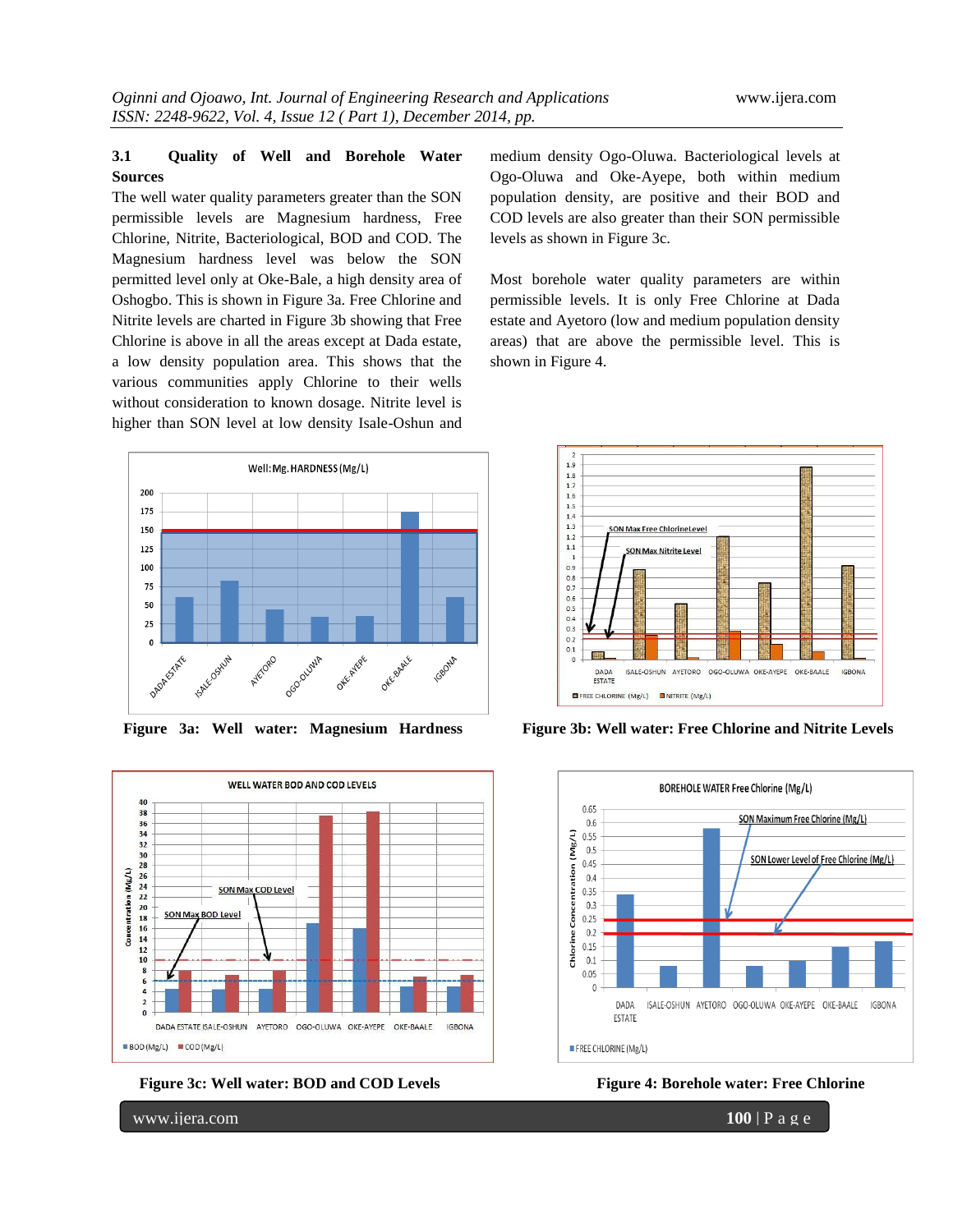# **3.1 Quality of Well and Borehole Water Sources**

The well water quality parameters greater than the SON permissible levels are Magnesium hardness, Free Chlorine, Nitrite, Bacteriological, BOD and COD. The Magnesium hardness level was below the SON permitted level only at Oke-Bale, a high density area of Oshogbo. This is shown in Figure 3a. Free Chlorine and Nitrite levels are charted in Figure 3b showing that Free Chlorine is above in all the areas except at Dada estate, a low density population area. This shows that the various communities apply Chlorine to their wells without consideration to known dosage. Nitrite level is higher than SON level at low density Isale-Oshun and

medium density Ogo-Oluwa. Bacteriological levels at Ogo-Oluwa and Oke-Ayepe, both within medium population density, are positive and their BOD and COD levels are also greater than their SON permissible levels as shown in Figure 3c.

Most borehole water quality parameters are within permissible levels. It is only Free Chlorine at Dada estate and Ayetoro (low and medium population density areas) that are above the permissible level. This is shown in Figure 4.





**Figure 3c: Well water: BOD and COD Levels Figure 4: Borehole water: Free Chlorine**



**Figure 3a: Well water: Magnesium Hardness Figure 3b: Well water: Free Chlorine and Nitrite Levels**



www.ijera.com **100** | P a g e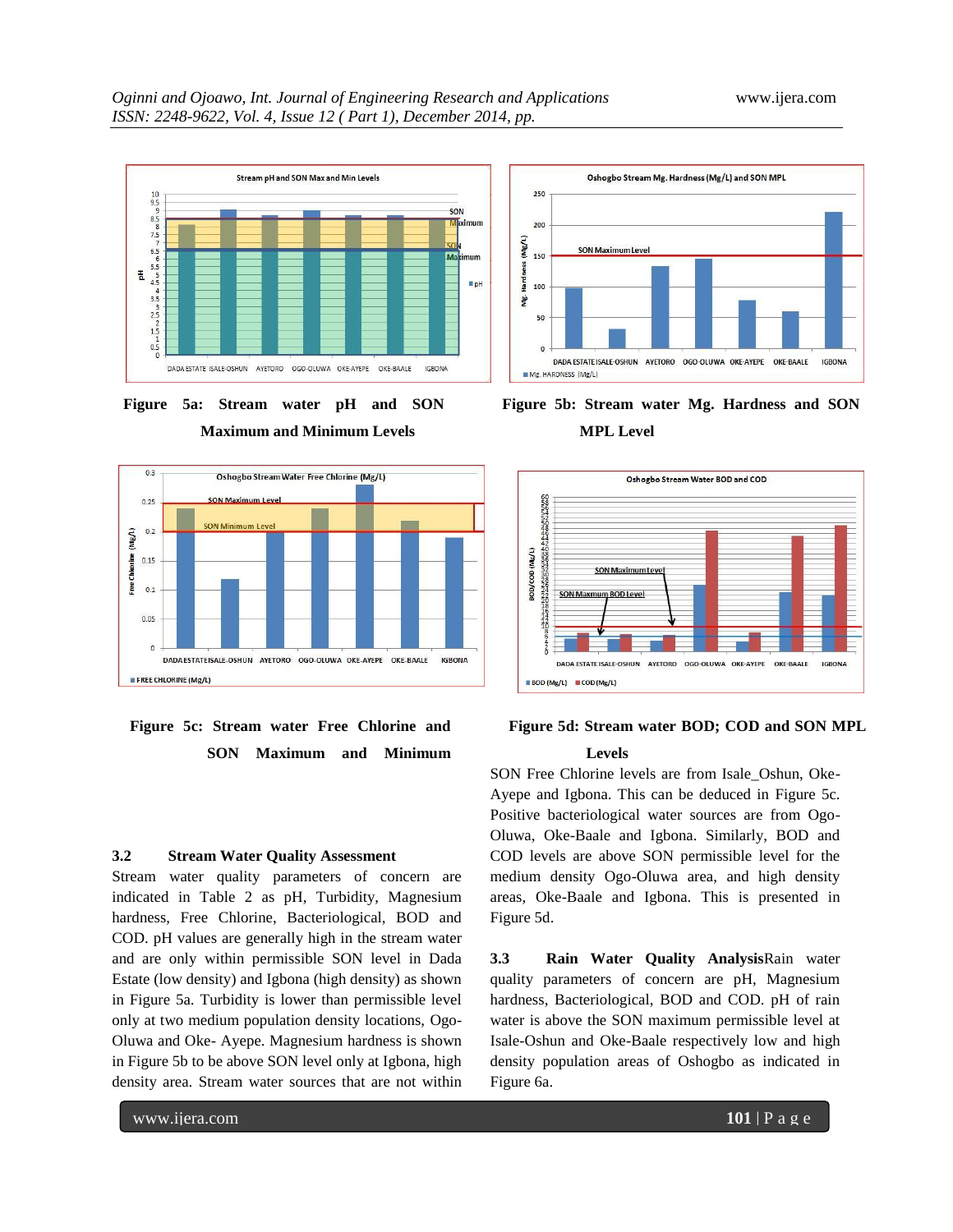

**Figure 5a: Stream water pH and SON** 

**Maximum and Minimum Levels**





# **3.2 Stream Water Quality Assessment**

Stream water quality parameters of concern are indicated in Table 2 as pH, Turbidity, Magnesium hardness, Free Chlorine, Bacteriological, BOD and COD. pH values are generally high in the stream water and are only within permissible SON level in Dada Estate (low density) and Igbona (high density) as shown in Figure 5a. Turbidity is lower than permissible level only at two medium population density locations, Ogo-Oluwa and Oke- Ayepe. Magnesium hardness is shown in Figure 5b to be above SON level only at Igbona, high density area. Stream water sources that are not within



**Figure 5b: Stream water Mg. Hardness and SON MPL Level**



# **Figure 5d: Stream water BOD; COD and SON MPL Levels**

SON Free Chlorine levels are from Isale\_Oshun, Oke-Ayepe and Igbona. This can be deduced in Figure 5c. Positive bacteriological water sources are from Ogo-Oluwa, Oke-Baale and Igbona. Similarly, BOD and COD levels are above SON permissible level for the medium density Ogo-Oluwa area, and high density areas, Oke-Baale and Igbona. This is presented in Figure 5d.

**3.3 Rain Water Quality Analysis**Rain water quality parameters of concern are pH, Magnesium hardness, Bacteriological, BOD and COD. pH of rain water is above the SON maximum permissible level at Isale-Oshun and Oke-Baale respectively low and high density population areas of Oshogbo as indicated in Figure 6a.

www.ijera.com **101** | P a g e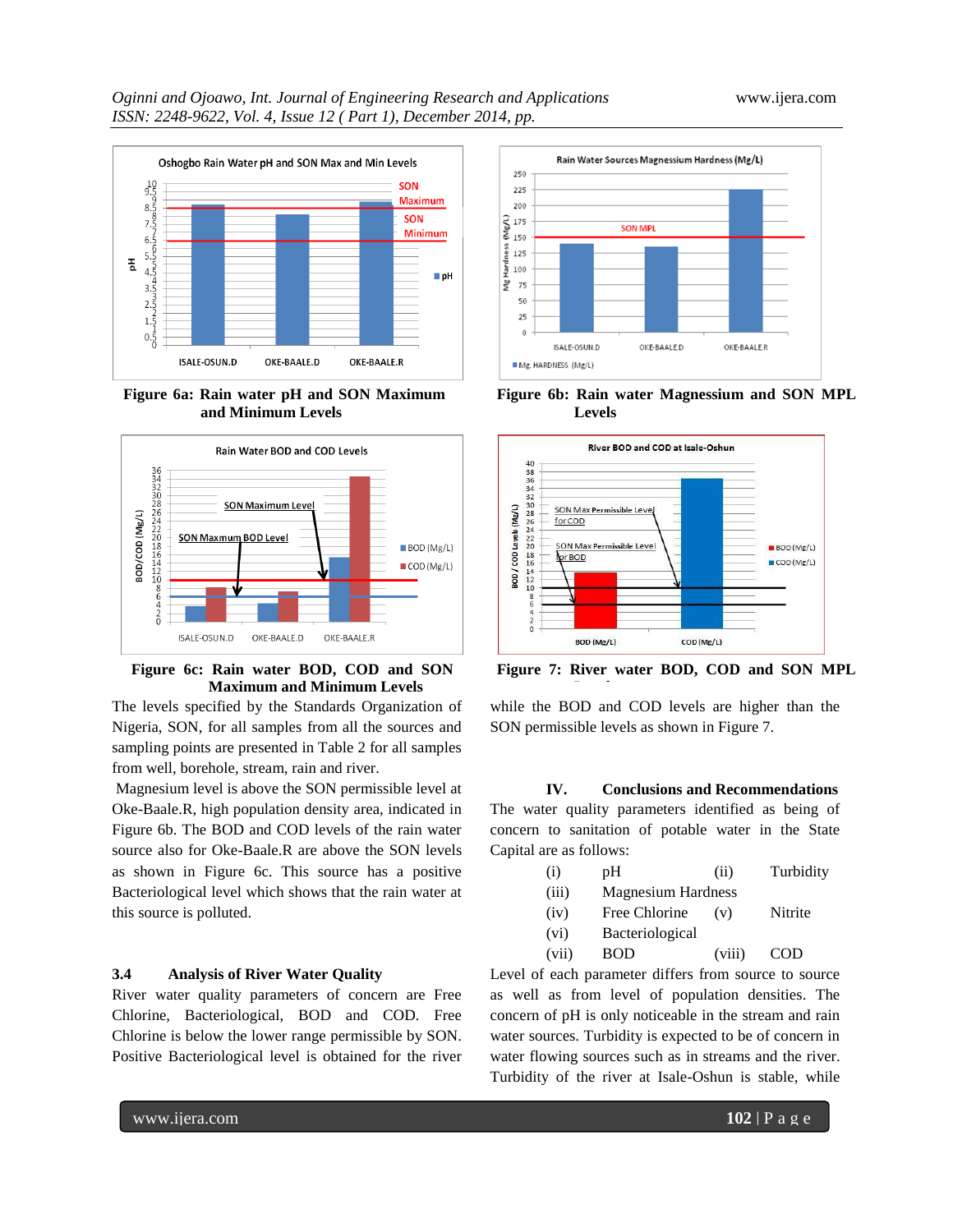

**Figure 6a: Rain water pH and SON Maximum and Minimum Levels**



#### **Figure 6c: Rain water BOD, COD and SON Maximum and Minimum Levels**

The levels specified by the Standards Organization of Nigeria, SON, for all samples from all the sources and sampling points are presented in Table 2 for all samples from well, borehole, stream, rain and river.

Magnesium level is above the SON permissible level at Oke-Baale.R, high population density area, indicated in Figure 6b. The BOD and COD levels of the rain water source also for Oke-Baale.R are above the SON levels as shown in Figure 6c. This source has a positive Bacteriological level which shows that the rain water at this source is polluted.

# **3.4 Analysis of River Water Quality**

River water quality parameters of concern are Free Chlorine, Bacteriological, BOD and COD. Free Chlorine is below the lower range permissible by SON. Positive Bacteriological level is obtained for the river



**Figure 6b: Rain water Magnessium and SON MPL Levels**



**Figure 7: River water BOD, COD and SON MPL** 

while the BOD and COD levels are higher than the SON permissible levels as shown in Figure 7.

#### **IV. Conclusions and Recommendations**

The water quality parameters identified as being of concern to sanitation of potable water in the State Capital are as follows:

| (i) | pH | (ii) | Turbidity |
|-----|----|------|-----------|
|-----|----|------|-----------|

- (iii) Magnesium Hardness
- (iv) Free Chlorine (v) Nitrite
- (vi) Bacteriological

(vii) BOD (viii) COD

Level of each parameter differs from source to source as well as from level of population densities. The concern of pH is only noticeable in the stream and rain water sources. Turbidity is expected to be of concern in water flowing sources such as in streams and the river. Turbidity of the river at Isale-Oshun is stable, while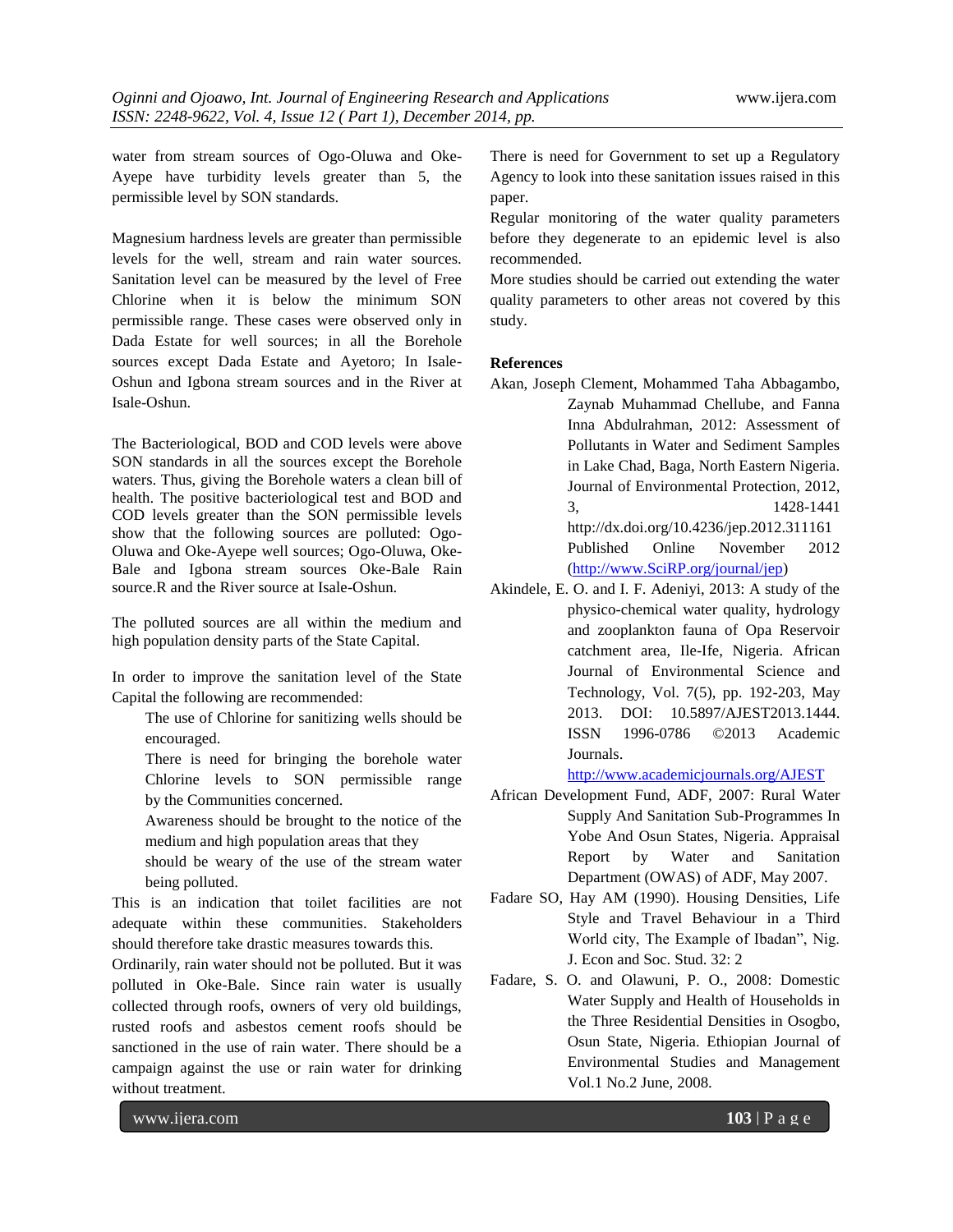water from stream sources of Ogo-Oluwa and Oke-Ayepe have turbidity levels greater than 5, the permissible level by SON standards.

Magnesium hardness levels are greater than permissible levels for the well, stream and rain water sources. Sanitation level can be measured by the level of Free Chlorine when it is below the minimum SON permissible range. These cases were observed only in Dada Estate for well sources; in all the Borehole sources except Dada Estate and Ayetoro; In Isale-Oshun and Igbona stream sources and in the River at Isale-Oshun.

The Bacteriological, BOD and COD levels were above SON standards in all the sources except the Borehole waters. Thus, giving the Borehole waters a clean bill of health. The positive bacteriological test and BOD and COD levels greater than the SON permissible levels show that the following sources are polluted: Ogo-Oluwa and Oke-Ayepe well sources; Ogo-Oluwa, Oke-Bale and Igbona stream sources Oke-Bale Rain source.R and the River source at Isale-Oshun.

The polluted sources are all within the medium and high population density parts of the State Capital.

In order to improve the sanitation level of the State Capital the following are recommended:

- The use of Chlorine for sanitizing wells should be encouraged.
- There is need for bringing the borehole water Chlorine levels to SON permissible range by the Communities concerned.
- Awareness should be brought to the notice of the medium and high population areas that they
- should be weary of the use of the stream water being polluted.

This is an indication that toilet facilities are not adequate within these communities. Stakeholders should therefore take drastic measures towards this.

Ordinarily, rain water should not be polluted. But it was polluted in Oke-Bale. Since rain water is usually collected through roofs, owners of very old buildings, rusted roofs and asbestos cement roofs should be sanctioned in the use of rain water. There should be a campaign against the use or rain water for drinking without treatment.

There is need for Government to set up a Regulatory Agency to look into these sanitation issues raised in this paper.

Regular monitoring of the water quality parameters before they degenerate to an epidemic level is also recommended.

More studies should be carried out extending the water quality parameters to other areas not covered by this study.

# **References**

- Akan, Joseph Clement, Mohammed Taha Abbagambo, Zaynab Muhammad Chellube, and Fanna Inna Abdulrahman, 2012: Assessment of Pollutants in Water and Sediment Samples in Lake Chad, Baga, North Eastern Nigeria. Journal of Environmental Protection, 2012, 3, 1428-1441 http://dx.doi.org/10.4236/jep.2012.311161 Published Online November 2012 [\(http://www.SciRP.org/journal/jep\)](http://www.scirp.org/journal/jep)
- Akindele, E. O. and I. F. Adeniyi, 2013: A study of the physico-chemical water quality, hydrology and zooplankton fauna of Opa Reservoir catchment area, Ile-Ife, Nigeria. African Journal of Environmental Science and Technology, Vol. 7(5), pp. 192-203, May 2013. DOI: 10.5897/AJEST2013.1444. ISSN 1996-0786 ©2013 Academic Journals.

<http://www.academicjournals.org/AJEST>

- African Development Fund, ADF, 2007: Rural Water Supply And Sanitation Sub-Programmes In Yobe And Osun States, Nigeria. Appraisal Report by Water and Sanitation Department (OWAS) of ADF, May 2007.
- Fadare SO, Hay AM (1990). Housing Densities, Life Style and Travel Behaviour in a Third World city, The Example of Ibadan", Nig. J. Econ and Soc. Stud. 32: 2
- Fadare, S. O. and Olawuni, P. O., 2008: Domestic Water Supply and Health of Households in the Three Residential Densities in Osogbo, Osun State, Nigeria. Ethiopian Journal of Environmental Studies and Management Vol.1 No.2 June, 2008.

www.ijera.com **103** | P a g e